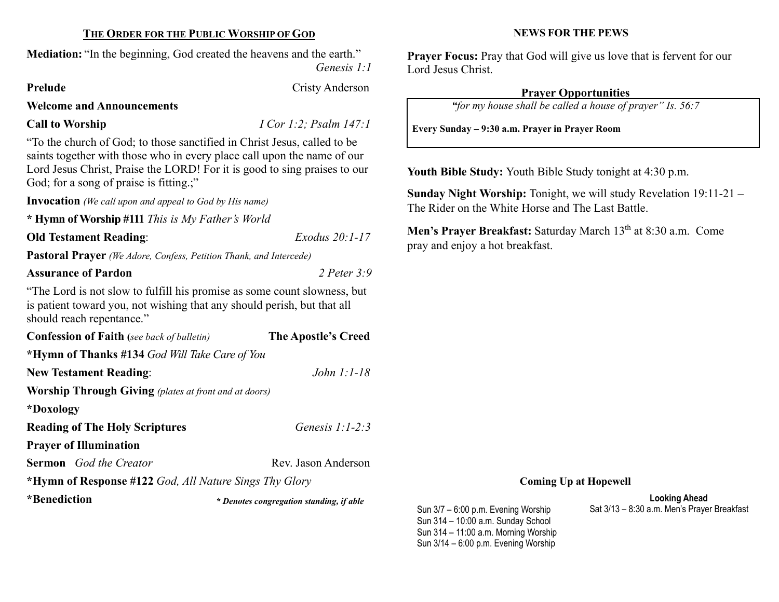# THE ORDER FOR THE PUBLIC WORSHIP OF GOD

Mediation: "In the beginning, God created the heavens and the earth."

Genesis 1:1

# Welcome and Announcements

Call to Worship  $I Cor 1:2; Psalm 147:1$ 

"To the church of God; to those sanctified in Christ Jesus, called to be saints together with those who in every place call upon the name of our Lord Jesus Christ, Praise the LORD! For it is good to sing praises to our God; for a song of praise is fitting.;"

Invocation (We call upon and appeal to God by His name)

\* Hymn of Worship #111 This is My Father's World

Old Testament Reading: Exodus 20:1-17

Pastoral Prayer (We Adore, Confess, Petition Thank, and Intercede)

# Assurance of Pardon 2 Peter 3:9

"The Lord is not slow to fulfill his promise as some count slowness, but is patient toward you, not wishing that any should perish, but that all should reach repentance."

| <b>Confession of Faith</b> (see back of bulletin)            | The Apostle's Creed |
|--------------------------------------------------------------|---------------------|
| *Hymn of Thanks #134 God Will Take Care of You               |                     |
| <b>New Testament Reading:</b>                                | John $1:1-18$       |
| <b>Worship Through Giving</b> (plates at front and at doors) |                     |
| *Doxology                                                    |                     |
| <b>Reading of The Holy Scriptures</b>                        | Genesis $1:1-2:3$   |
| <b>Prayer of Illumination</b>                                |                     |
| <b>Sermon</b> God the Creator                                | Rev. Jason Anderson |
| *Hymn of Response #122 God, All Nature Sings Thy Glory       |                     |
|                                                              |                     |

\*Benediction

\* Denotes congregation standing, if able

NEWS FOR THE PEWS

Prayer Focus: Pray that God will give us love that is fervent for our Lord Jesus Christ.

# Prayer Opportunities

"for my house shall be called a house of prayer" Is. 56:7

Every Sunday – 9:30 a.m. Prayer in Prayer Room

Youth Bible Study: Youth Bible Study tonight at 4:30 p.m.

Sunday Night Worship: Tonight, we will study Revelation 19:11-21 – The Rider on the White Horse and The Last Battle.

Men's Prayer Breakfast: Saturday March 13<sup>th</sup> at 8:30 a.m. Come pray and enjoy a hot breakfast.

# Coming Up at Hopewell

Looking Ahead Sat 3/13 – 8:30 a.m. Men's Prayer Breakfast

Sun 3/7 – 6:00 p.m. Evening Worship Sun 314 – 10:00 a.m. Sunday School Sun 314 – 11:00 a.m. Morning Worship Sun 3/14 – 6:00 p.m. Evening Worship

# Prelude Cristy Anderson